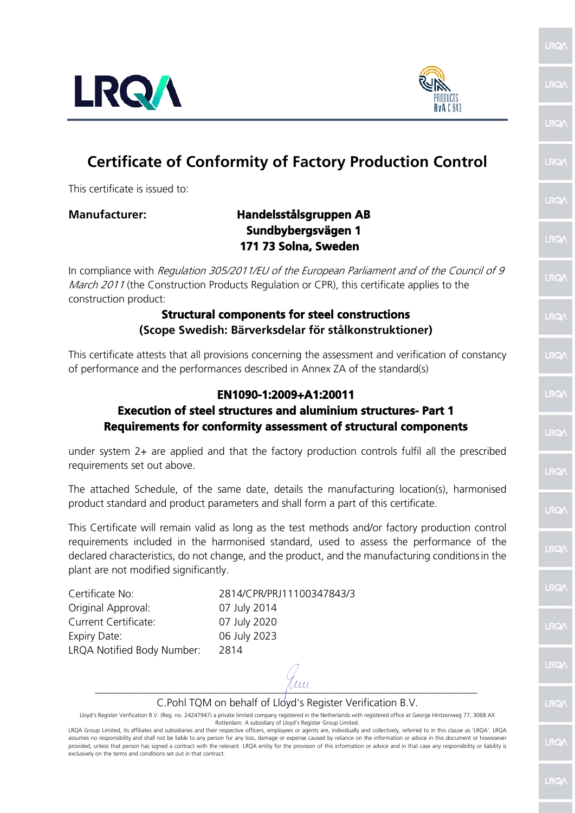



**LRQ** 

LRO

LRO/

**IRQ** 

LRO/

LRQ)

**RQ** 

LRQ/

**IRQ** 

LRO/

**LRO** 

LRO/

# **Certificate of Conformity of Factory Production Control**

This certificate is issued to:

## **Manufacturer: Handelsstålsgruppen AB Sundbybergsvägen 1 171 73 Solna, Sweden**

In compliance with Regulation 305/2011/EU of the European Parliament and of the Council of 9 March 2011 (the Construction Products Regulation or CPR), this certificate applies to the construction product:

### **Structural components for steel constructions (Scope Swedish: Bärverksdelar för stålkonstruktioner)**

This certificate attests that all provisions concerning the assessment and verification of constancy of performance and the performances described in Annex ZA of the standard(s)

## **EN1090-1:2009+A1:20011**

#### **Execution of steel structures and aluminium structures- Part 1 Requirements for conformity assessment of structural components**

under system 2+ are applied and that the factory production controls fulfil all the prescribed requirements set out above.

The attached Schedule, of the same date, details the manufacturing location(s), harmonised product standard and product parameters and shall form a part of this certificate.

This Certificate will remain valid as long as the test methods and/or factory production control requirements included in the harmonised standard, used to assess the performance of the declared characteristics, do not change, and the product, and the manufacturing conditionsin the plant are not modified significantly.

Original Approval: 07 July 2014 Current Certificate: 07 July 2020 Expiry Date: 06 July 2023 LRQA Notified Body Number: 2814

Certificate No: 2814/CPR/PRJ11100347843/3

 $\mu$ m

C.Pohl TQM on behalf of Lloyd's Register Verification B.V.

Lloyd's Register Verification B.V. (Reg. no. 24247947) a private limited company registered in the Netherlands with registered office at George Hintzenweg 77, 3068 AX Rotterdam. A subsidiary of Lloyd's Register Group Limited.

LRQA Group Limited, its affiliates and subsidiaries and their respective officers, employees or agents are, individually and collectively, referred to in this clause as 'LRQA'. LRQA assumes no responsibility and shall not be liable to any person for any loss, damage or expense caused by reliance on the information or advice in this document or howsoever provided, unless that person has signed a contract with the relevant LRQA entity for the provision of this information or advice and in that case any responsibility or liability is exclusively on the terms and conditions set out in that contract.

LRQ LRQ/ LRQ/ LRQ LRO/ **LRO** LRO